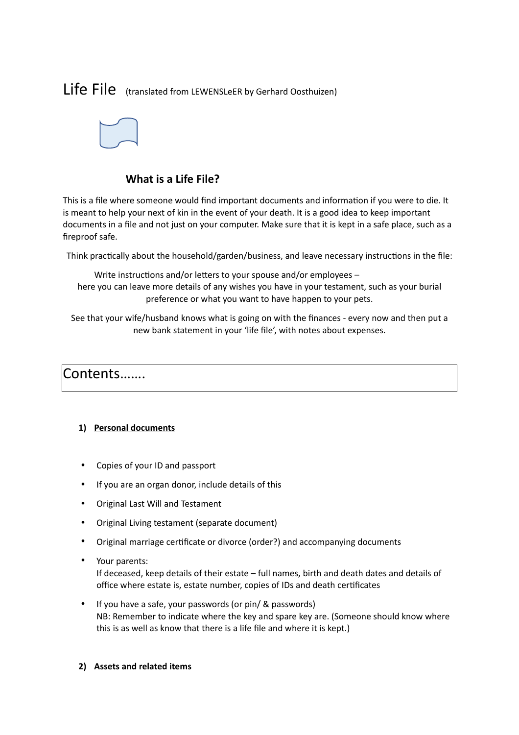# Life File (translated from LEWENSLeER by Gerhard Oosthuizen)



### **What is a Life File?**

This is a file where someone would find important documents and information if you were to die. It is meant to help your next of kin in the event of your death. It is a good idea to keep important documents in a file and not just on your computer. Make sure that it is kept in a safe place, such as a fireproof safe.

Think practically about the household/garden/business, and leave necessary instructions in the file:

Write instructions and/or letters to your spouse and/or employees – here you can leave more details of any wishes you have in your testament, such as your burial preference or what you want to have happen to your pets.

See that your wife/husband knows what is going on with the finances - every now and then put a new bank statement in your 'life file', with notes about expenses.

## Contents…….

#### **1) Personal documents**

- Copies of your ID and passport
- If you are an organ donor, include details of this
- Original Last Will and Testament
- Original Living testament (separate document)
- Original marriage certificate or divorce (order?) and accompanying documents
- Your parents:

If deceased, keep details of their estate – full names, birth and death dates and details of office where estate is, estate number, copies of IDs and death certificates

- If you have a safe, your passwords (or pin/ & passwords) NB: Remember to indicate where the key and spare key are. (Someone should know where this is as well as know that there is a life file and where it is kept.)
- **2) Assets and related items**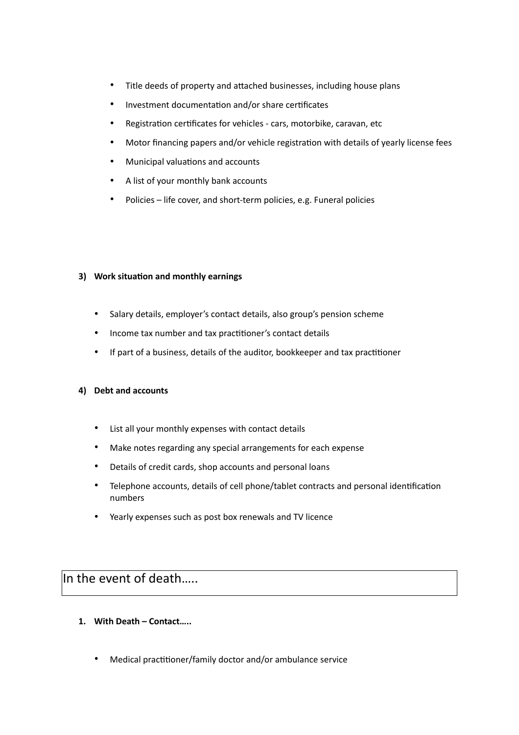- Title deeds of property and attached businesses, including house plans
- Investment documentation and/or share certificates
- Registration certificates for vehicles cars, motorbike, caravan, etc
- Motor financing papers and/or vehicle registration with details of yearly license fees
- Municipal valuations and accounts
- A list of your monthly bank accounts
- Policies life cover, and short-term policies, e.g. Funeral policies

#### **3) Work situation and monthly earnings**

- Salary details, employer's contact details, also group's pension scheme
- Income tax number and tax practitioner's contact details
- If part of a business, details of the auditor, bookkeeper and tax practitioner

#### **4) Debt and accounts**

- List all your monthly expenses with contact details
- Make notes regarding any special arrangements for each expense
- Details of credit cards, shop accounts and personal loans
- Telephone accounts, details of cell phone/tablet contracts and personal identification numbers
- Yearly expenses such as post box renewals and TV licence

### In the event of death…..

- **1. With Death Contact…..**
	- Medical practitioner/family doctor and/or ambulance service